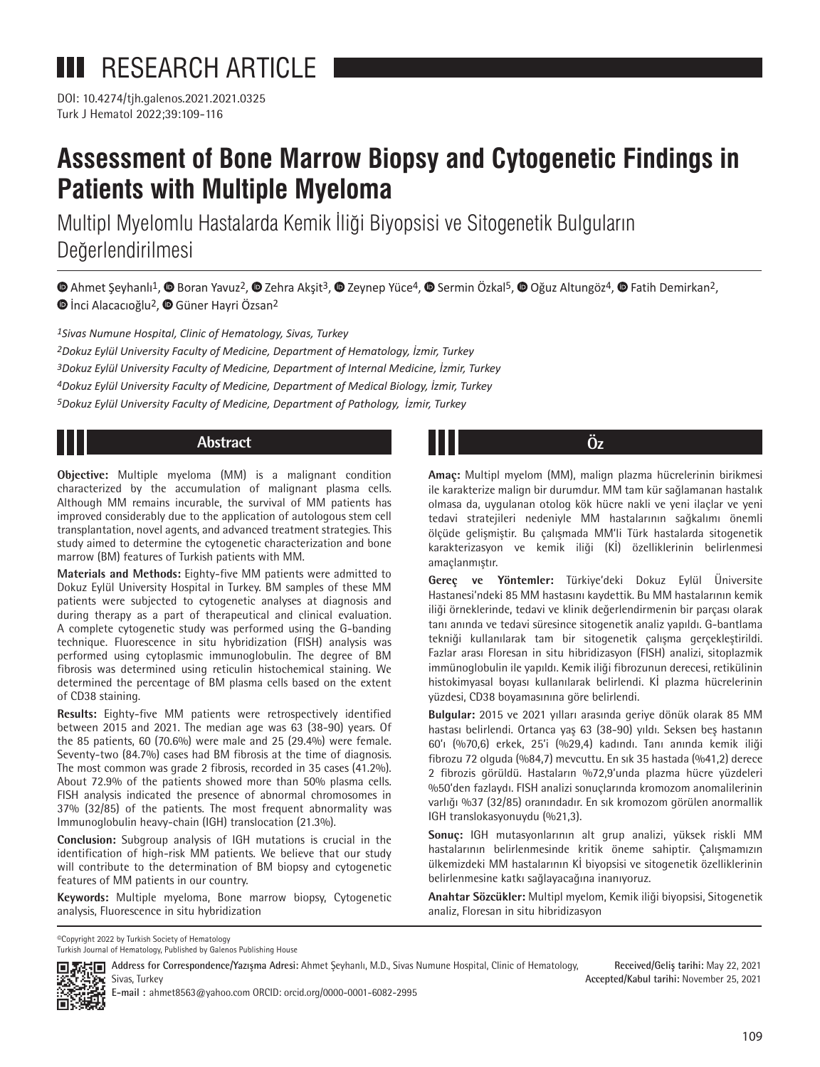DOI: 10.4274/tjh.galenos.2021.2021.0325 Turk J Hematol 2022;39:109-116

# **Assessment of Bone Marrow Biopsy and Cytogenetic Findings in Patients with Multiple Myeloma**

Multipl Myelomlu Hastalarda Kemik İliği Biyopsisi ve Sitogenetik Bulguların Değerlendirilmesi

 $\bullet$ Ahmet Seyhanlı<sup>1</sup>,  $\bullet$  Boran Yavuz<sup>2</sup>,  $\bullet$  Zehra Aksit<sup>3</sup>,  $\bullet$  Zeynep Yüce<sup>4</sup>,  $\bullet$  Sermin Özkal<sup>5</sup>,  $\bullet$  Oğuz Altungöz<sup>4</sup>,  $\bullet$  Fatih Demirkan<sup>2</sup>, **D**İnci Alacacıoğlu<sup>2</sup>, **D** Güner Hayri Özsan<sup>2</sup>

*1Sivas Numune Hospital, Clinic of Hematology, Sivas, Turkey Dokuz Eylül University Faculty of Medicine, Department of Hematology, İzmir, Turkey Dokuz Eylül University Faculty of Medicine, Department of Internal Medicine, İzmir, Turkey Dokuz Eylül University Faculty of Medicine, Department of Medical Biology, İzmir, Turkey Dokuz Eylül University Faculty of Medicine, Department of Pathology, İzmir, Turkey*

**Objective:** Multiple myeloma (MM) is a malignant condition characterized by the accumulation of malignant plasma cells. Although MM remains incurable, the survival of MM patients has improved considerably due to the application of autologous stem cell transplantation, novel agents, and advanced treatment strategies. This study aimed to determine the cytogenetic characterization and bone marrow (BM) features of Turkish patients with MM.

**Materials and Methods:** Eighty-five MM patients were admitted to Dokuz Eylül University Hospital in Turkey. BM samples of these MM patients were subjected to cytogenetic analyses at diagnosis and during therapy as a part of therapeutical and clinical evaluation. A complete cytogenetic study was performed using the G-banding technique. Fluorescence in situ hybridization (FISH) analysis was performed using cytoplasmic immunoglobulin. The degree of BM fibrosis was determined using reticulin histochemical staining. We determined the percentage of BM plasma cells based on the extent of CD38 staining.

**Results:** Eighty-five MM patients were retrospectively identified between 2015 and 2021. The median age was 63 (38-90) years. Of the 85 patients, 60 (70.6%) were male and 25 (29.4%) were female. Seventy-two (84.7%) cases had BM fibrosis at the time of diagnosis. The most common was grade 2 fibrosis, recorded in 35 cases (41.2%). About 72.9% of the patients showed more than 50% plasma cells. FISH analysis indicated the presence of abnormal chromosomes in 37% (32/85) of the patients. The most frequent abnormality was Immunoglobulin heavy-chain (IGH) translocation (21.3%).

**Conclusion:** Subgroup analysis of IGH mutations is crucial in the identification of high-risk MM patients. We believe that our study will contribute to the determination of BM biopsy and cytogenetic features of MM patients in our country.

**Keywords:** Multiple myeloma, Bone marrow biopsy, Cytogenetic analysis, Fluorescence in situ hybridization

**Abstract Öz**

**Amaç:** Multipl myelom (MM), malign plazma hücrelerinin birikmesi ile karakterize malign bir durumdur. MM tam kür sağlamanan hastalık olmasa da, uygulanan otolog kök hücre nakli ve yeni ilaçlar ve yeni tedavi stratejileri nedeniyle MM hastalarının sağkalımı önemli ölçüde gelişmiştir. Bu çalışmada MM'li Türk hastalarda sitogenetik karakterizasyon ve kemik iliği (Kİ) özelliklerinin belirlenmesi amaçlanmıştır.

**Gereç ve Yöntemler:** Türkiye'deki Dokuz Eylül Üniversite Hastanesi'ndeki 85 MM hastasını kaydettik. Bu MM hastalarının kemik iliği örneklerinde, tedavi ve klinik değerlendirmenin bir parçası olarak tanı anında ve tedavi süresince sitogenetik analiz yapıldı. G-bantlama tekniği kullanılarak tam bir sitogenetik çalışma gerçekleştirildi. Fazlar arası Floresan in situ hibridizasyon (FISH) analizi, sitoplazmik immünoglobulin ile yapıldı. Kemik iliği fibrozunun derecesi, retikülinin histokimyasal boyası kullanılarak belirlendi. Kİ plazma hücrelerinin yüzdesi, CD38 boyamasınına göre belirlendi.

**Bulgular:** 2015 ve 2021 yılları arasında geriye dönük olarak 85 MM hastası belirlendi. Ortanca yaş 63 (38-90) yıldı. Seksen beş hastanın 60'ı (%70,6) erkek, 25'i (%29,4) kadındı. Tanı anında kemik iliği fibrozu 72 olguda (%84,7) mevcuttu. En sık 35 hastada (%41,2) derece 2 fibrozis görüldü. Hastaların %72,9'unda plazma hücre yüzdeleri %50'den fazlaydı. FISH analizi sonuçlarında kromozom anomalilerinin varlığı %37 (32/85) oranındadır. En sık kromozom görülen anormallik IGH translokasyonuydu (%21,3).

**Sonuç:** IGH mutasyonlarının alt grup analizi, yüksek riskli MM hastalarının belirlenmesinde kritik öneme sahiptir. Çalışmamızın ülkemizdeki MM hastalarının Kİ biyopsisi ve sitogenetik özelliklerinin belirlenmesine katkı sağlayacağına inanıyoruz.

**Anahtar Sözcükler:** Multipl myelom, Kemik iliği biyopsisi, Sitogenetik analiz, Floresan in situ hibridizasyon

©Copyright 2022 by Turkish Society of Hematology Turkish Journal of Hematology, Published by Galenos Publishing House



**Received/Geliş tarihi:** May 22, 2021 **Accepted/Kabul tarihi:** November 25, 2021 **ADDRESS FOR CORPS FOR CORPSPONDENCE/Yazışma Adresi:** Ahmet Şeyhanlı, M.D., Sivas Numune Hospital, Clinic of Hematology, Sivas, Turkey

**E-mail :** ahmet8563@yahoo.com ORCID: orcid.org/0000-0001-6082-2995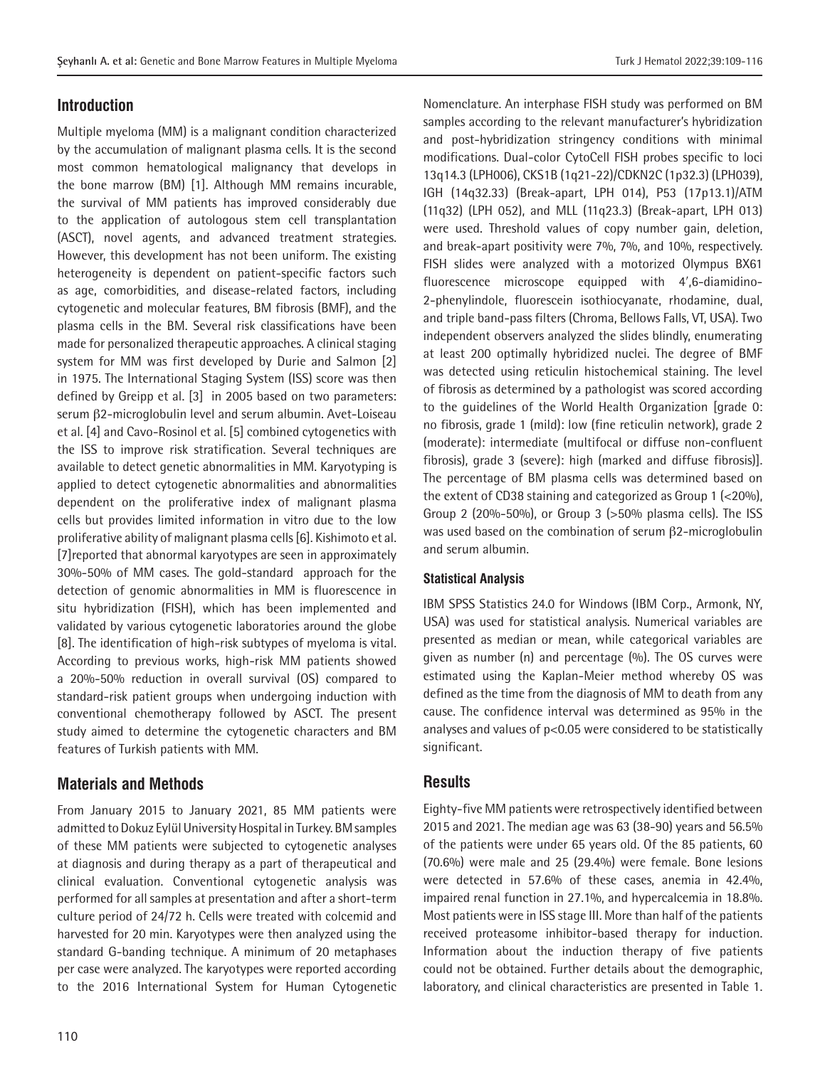# **Introduction**

Multiple myeloma (MM) is a malignant condition characterized by the accumulation of malignant plasma cells. It is the second most common hematological malignancy that develops in the bone marrow (BM) [1]. Although MM remains incurable, the survival of MM patients has improved considerably due to the application of autologous stem cell transplantation (ASCT), novel agents, and advanced treatment strategies. However, this development has not been uniform. The existing heterogeneity is dependent on patient-specific factors such as age, comorbidities, and disease-related factors, including cytogenetic and molecular features, BM fibrosis (BMF), and the plasma cells in the BM. Several risk classifications have been made for personalized therapeutic approaches. A clinical staging system for MM was first developed by Durie and Salmon [2] in 1975. The International Staging System (ISS) score was then defined by Greipp et al. [3] in 2005 based on two parameters: serum β2-microglobulin level and serum albumin. Avet-Loiseau et al. [4] and Cavo-Rosinol et al. [5] combined cytogenetics with the ISS to improve risk stratification. Several techniques are available to detect genetic abnormalities in MM. Karyotyping is applied to detect cytogenetic abnormalities and abnormalities dependent on the proliferative index of malignant plasma cells but provides limited information in vitro due to the low proliferative ability of malignant plasma cells [6]. Kishimoto et al. [7]reported that abnormal karyotypes are seen in approximately 30%-50% of MM cases. The gold-standard approach for the detection of genomic abnormalities in MM is fluorescence in situ hybridization (FISH), which has been implemented and validated by various cytogenetic laboratories around the globe [8]. The identification of high-risk subtypes of myeloma is vital. According to previous works, high-risk MM patients showed a 20%-50% reduction in overall survival (OS) compared to standard-risk patient groups when undergoing induction with conventional chemotherapy followed by ASCT. The present study aimed to determine the cytogenetic characters and BM features of Turkish patients with MM.

# **Materials and Methods**

From January 2015 to January 2021, 85 MM patients were admitted to Dokuz Eylül University Hospital in Turkey. BM samples of these MM patients were subjected to cytogenetic analyses at diagnosis and during therapy as a part of therapeutical and clinical evaluation. Conventional cytogenetic analysis was performed for all samples at presentation and after a short-term culture period of 24/72 h. Cells were treated with colcemid and harvested for 20 min. Karyotypes were then analyzed using the standard G-banding technique. A minimum of 20 metaphases per case were analyzed. The karyotypes were reported according to the 2016 International System for Human Cytogenetic

Nomenclature. An interphase FISH study was performed on BM samples according to the relevant manufacturer's hybridization and post-hybridization stringency conditions with minimal modifications. Dual-color CytoCell FISH probes specific to loci 13q14.3 (LPH006), CKS1B (1q21-22)/CDKN2C (1p32.3) (LPH039), IGH (14q32.33) (Break-apart, LPH 014), P53 (17p13.1)/ATM (11q32) (LPH 052), and MLL (11q23.3) (Break-apart, LPH 013) were used. Threshold values of copy number gain, deletion, and break-apart positivity were 7%, 7%, and 10%, respectively. FISH slides were analyzed with a motorized Olympus BX61 fluorescence microscope equipped with 4′,6-diamidino-2-phenylindole, fluorescein isothiocyanate, rhodamine, dual, and triple band-pass filters (Chroma, Bellows Falls, VT, USA). Two independent observers analyzed the slides blindly, enumerating at least 200 optimally hybridized nuclei. The degree of BMF was detected using reticulin histochemical staining. The level of fibrosis as determined by a pathologist was scored according to the guidelines of the World Health Organization [grade 0: no fibrosis, grade 1 (mild): low (fine reticulin network), grade 2 (moderate): intermediate (multifocal or diffuse non-confluent fibrosis), grade 3 (severe): high (marked and diffuse fibrosis)]. The percentage of BM plasma cells was determined based on the extent of CD38 staining and categorized as Group 1 (<20%), Group 2 (20%-50%), or Group 3 (>50% plasma cells). The ISS was used based on the combination of serum β2-microglobulin and serum albumin.

### **Statistical Analysis**

IBM SPSS Statistics 24.0 for Windows (IBM Corp., Armonk, NY, USA) was used for statistical analysis. Numerical variables are presented as median or mean, while categorical variables are given as number (n) and percentage (%). The OS curves were estimated using the Kaplan-Meier method whereby OS was defined as the time from the diagnosis of MM to death from any cause. The confidence interval was determined as 95% in the analyses and values of p<0.05 were considered to be statistically significant.

## **Results**

Eighty-five MM patients were retrospectively identified between 2015 and 2021. The median age was 63 (38-90) years and 56.5% of the patients were under 65 years old. Of the 85 patients, 60 (70.6%) were male and 25 (29.4%) were female. Bone lesions were detected in 57.6% of these cases, anemia in 42.4%, impaired renal function in 27.1%, and hypercalcemia in 18.8%. Most patients were in ISS stage III. More than half of the patients received proteasome inhibitor-based therapy for induction. Information about the induction therapy of five patients could not be obtained. Further details about the demographic, laboratory, and clinical characteristics are presented in Table 1.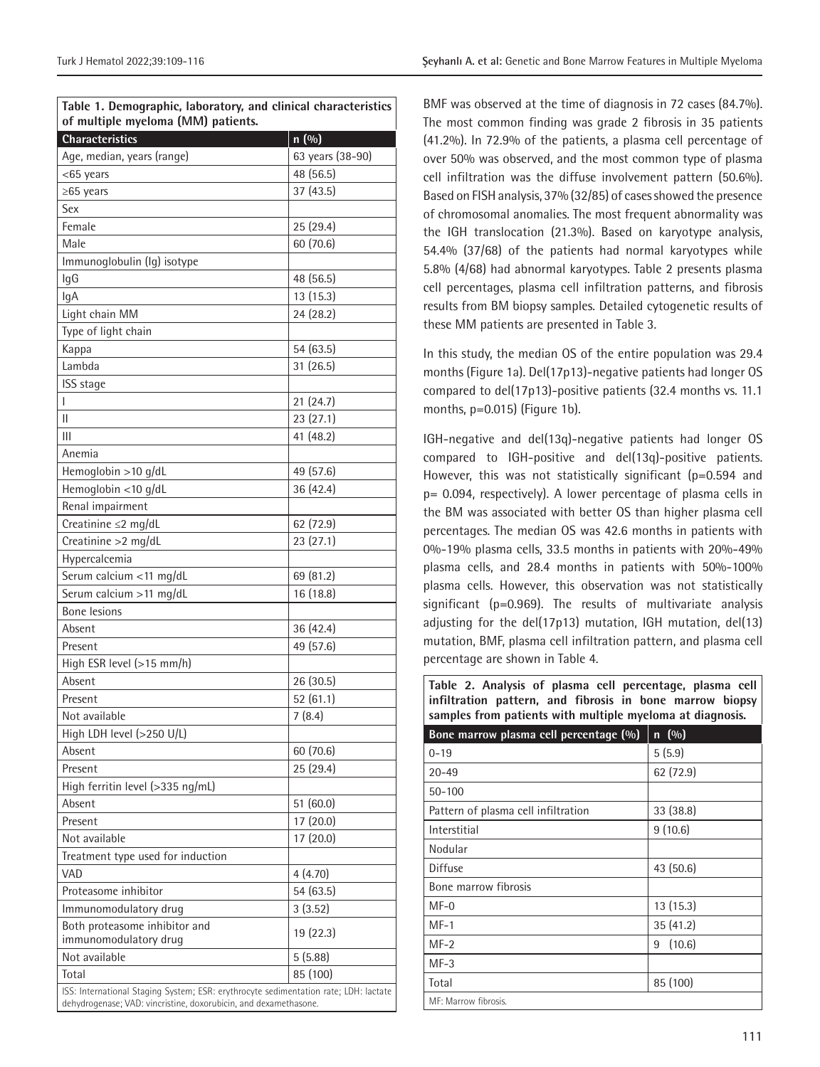**Table 1. Demographic, laboratory, and clinical characteristics of multiple myeloma (MM) patients.**

| <b>Characteristics</b>                                                               | n (%)            |  |  |  |  |
|--------------------------------------------------------------------------------------|------------------|--|--|--|--|
| Age, median, years (range)                                                           | 63 years (38-90) |  |  |  |  |
| <65 years                                                                            | 48 (56.5)        |  |  |  |  |
| ≥65 years                                                                            | 37 (43.5)        |  |  |  |  |
| Sex                                                                                  |                  |  |  |  |  |
| Female                                                                               | 25(29.4)         |  |  |  |  |
| Male                                                                                 | 60 (70.6)        |  |  |  |  |
| Immunoglobulin (Ig) isotype                                                          |                  |  |  |  |  |
| lgG                                                                                  | 48 (56.5)        |  |  |  |  |
| lgA                                                                                  | 13 (15.3)        |  |  |  |  |
| Light chain MM                                                                       | 24 (28.2)        |  |  |  |  |
| Type of light chain                                                                  |                  |  |  |  |  |
| Kappa                                                                                | 54 (63.5)        |  |  |  |  |
| Lambda                                                                               | 31 (26.5)        |  |  |  |  |
| ISS stage                                                                            |                  |  |  |  |  |
| I                                                                                    | 21 (24.7)        |  |  |  |  |
| Ш                                                                                    | 23 (27.1)        |  |  |  |  |
| Ш                                                                                    | 41 (48.2)        |  |  |  |  |
| Anemia                                                                               |                  |  |  |  |  |
| Hemoglobin >10 g/dL                                                                  | 49 (57.6)        |  |  |  |  |
| Hemoglobin <10 g/dL                                                                  | 36 (42.4)        |  |  |  |  |
| Renal impairment                                                                     |                  |  |  |  |  |
| Creatinine ≤2 mg/dL                                                                  | 62 (72.9)        |  |  |  |  |
| Creatinine > 2 mg/dL                                                                 | 23(27.1)         |  |  |  |  |
| Hypercalcemia                                                                        |                  |  |  |  |  |
| Serum calcium <11 mg/dL                                                              | 69 (81.2)        |  |  |  |  |
| Serum calcium > 11 mg/dL                                                             | 16 (18.8)        |  |  |  |  |
| <b>Bone lesions</b>                                                                  |                  |  |  |  |  |
| Absent                                                                               | 36(42.4)         |  |  |  |  |
| Present                                                                              | 49 (57.6)        |  |  |  |  |
| High ESR level (>15 mm/h)                                                            |                  |  |  |  |  |
| Absent                                                                               | 26 (30.5)        |  |  |  |  |
| Present                                                                              | 52(61.1)         |  |  |  |  |
| Not available                                                                        | 7(8.4)           |  |  |  |  |
| High LDH level (>250 U/L)                                                            |                  |  |  |  |  |
| Absent                                                                               | 60 (70.6)        |  |  |  |  |
| Present                                                                              | 25 (29.4)        |  |  |  |  |
| High ferritin level (>335 ng/mL)                                                     |                  |  |  |  |  |
| Absent                                                                               | 51 (60.0)        |  |  |  |  |
| Present                                                                              | 17 (20.0)        |  |  |  |  |
| Not available                                                                        | 17 (20.0)        |  |  |  |  |
| Treatment type used for induction                                                    |                  |  |  |  |  |
| VAD                                                                                  | 4(4.70)          |  |  |  |  |
| Proteasome inhibitor                                                                 | 54 (63.5)        |  |  |  |  |
| Immunomodulatory drug                                                                | 3(3.52)          |  |  |  |  |
| Both proteasome inhibitor and<br>immunomodulatory drug                               | 19 (22.3)        |  |  |  |  |
| Not available                                                                        | 5(5.88)          |  |  |  |  |
| Total                                                                                | 85 (100)         |  |  |  |  |
| ISS: International Staging System; ESR: erythrocyte sedimentation rate; LDH: lactate |                  |  |  |  |  |
| dehydrogenase; VAD: vincristine, doxorubicin, and dexamethasone.                     |                  |  |  |  |  |

BMF was observed at the time of diagnosis in 72 cases (84.7%). The most common finding was grade 2 fibrosis in 35 patients (41.2%). In 72.9% of the patients, a plasma cell percentage of over 50% was observed, and the most common type of plasma cell infiltration was the diffuse involvement pattern (50.6%). Based on FISH analysis, 37% (32/85) of cases showed the presence of chromosomal anomalies. The most frequent abnormality was the IGH translocation (21.3%). Based on karyotype analysis, 54.4% (37/68) of the patients had normal karyotypes while 5.8% (4/68) had abnormal karyotypes. Table 2 presents plasma cell percentages, plasma cell infiltration patterns, and fibrosis results from BM biopsy samples. Detailed cytogenetic results of these MM patients are presented in Table 3.

In this study, the median OS of the entire population was 29.4 months (Figure 1a). Del(17p13)-negative patients had longer OS compared to del(17p13)-positive patients (32.4 months vs. 11.1 months, p=0.015) (Figure 1b).

IGH-negative and del(13q)-negative patients had longer OS compared to IGH-positive and del(13q)-positive patients. However, this was not statistically significant (p=0.594 and p= 0.094, respectively). A lower percentage of plasma cells in the BM was associated with better OS than higher plasma cell percentages. The median OS was 42.6 months in patients with 0%-19% plasma cells, 33.5 months in patients with 20%-49% plasma cells, and 28.4 months in patients with 50%-100% plasma cells. However, this observation was not statistically significant (p=0.969). The results of multivariate analysis adjusting for the del(17p13) mutation, IGH mutation, del(13) mutation, BMF, plasma cell infiltration pattern, and plasma cell percentage are shown in Table 4.

**Table 2. Analysis of plasma cell percentage, plasma cell infiltration pattern, and fibrosis in bone marrow biopsy samples from patients with multiple myeloma at diagnosis.**

| Bone marrow plasma cell percentage (%) | $n \ (\%)$  |
|----------------------------------------|-------------|
| $0 - 19$                               | 5(5.9)      |
| $20 - 49$                              | 62 (72.9)   |
| $50 - 100$                             |             |
| Pattern of plasma cell infiltration    | 33 (38.8)   |
| Interstitial                           | 9(10.6)     |
| Nodular                                |             |
| <b>Diffuse</b>                         | 43 (50.6)   |
| Bone marrow fibrosis                   |             |
| $MF-0$                                 | 13(15.3)    |
| $MF-1$                                 | 35(41.2)    |
| $MF-2$                                 | (10.6)<br>9 |
| $MF-3$                                 |             |
| Total                                  | 85 (100)    |
| MF: Marrow fibrosis.                   |             |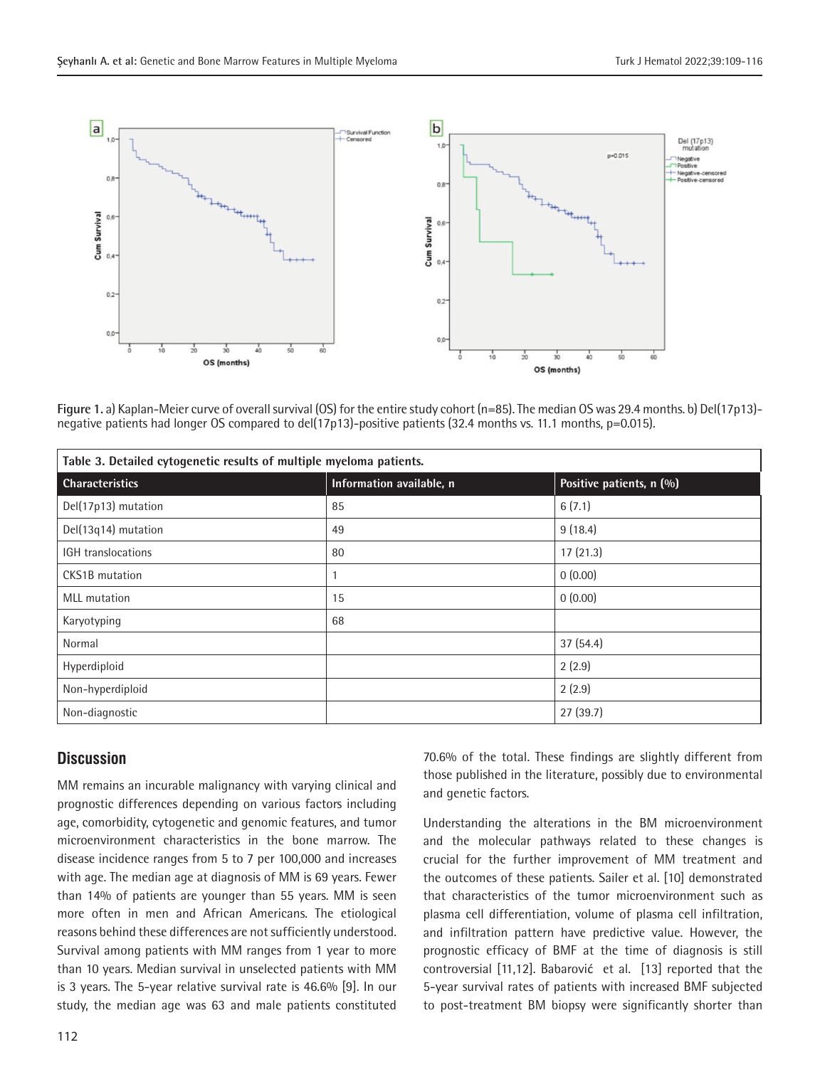

**Figure 1.** a) Kaplan-Meier curve of overall survival (OS) for the entire study cohort (n=85). The median OS was 29.4 months. b) Del(17p13) negative patients had longer OS compared to del(17p13)-positive patients (32.4 months vs. 11.1 months, p=0.015).

| Table 3. Detailed cytogenetic results of multiple myeloma patients. |                          |                          |  |  |  |
|---------------------------------------------------------------------|--------------------------|--------------------------|--|--|--|
| <b>Characteristics</b>                                              | Information available, n | Positive patients, n (%) |  |  |  |
| Del(17p13) mutation                                                 | 85                       | 6(7.1)                   |  |  |  |
| Del(13q14) mutation                                                 | 49                       | 9(18.4)                  |  |  |  |
| IGH translocations                                                  | 80                       | 17(21.3)                 |  |  |  |
| <b>CKS1B</b> mutation                                               |                          | 0(0.00)                  |  |  |  |
| <b>MLL</b> mutation                                                 | 15                       | 0(0.00)                  |  |  |  |
| Karyotyping                                                         | 68                       |                          |  |  |  |
| Normal                                                              |                          | 37(54.4)                 |  |  |  |
| Hyperdiploid                                                        |                          | 2(2.9)                   |  |  |  |
| Non-hyperdiploid                                                    |                          | 2(2.9)                   |  |  |  |
| Non-diagnostic                                                      |                          | 27(39.7)                 |  |  |  |

# **Discussion**

MM remains an incurable malignancy with varying clinical and prognostic differences depending on various factors including age, comorbidity, cytogenetic and genomic features, and tumor microenvironment characteristics in the bone marrow. The disease incidence ranges from 5 to 7 per 100,000 and increases with age. The median age at diagnosis of MM is 69 years. Fewer than 14% of patients are younger than 55 years. MM is seen more often in men and African Americans. The etiological reasons behind these differences are not sufficiently understood. Survival among patients with MM ranges from 1 year to more than 10 years. Median survival in unselected patients with MM is 3 years. The 5-year relative survival rate is 46.6% [9]. In our study, the median age was 63 and male patients constituted

70.6% of the total. These findings are slightly different from those published in the literature, possibly due to environmental and genetic factors.

Understanding the alterations in the BM microenvironment and the molecular pathways related to these changes is crucial for the further improvement of MM treatment and the outcomes of these patients. Sailer et al. [10] demonstrated that characteristics of the tumor microenvironment such as plasma cell differentiation, volume of plasma cell infiltration, and infiltration pattern have predictive value. However, the prognostic efficacy of BMF at the time of diagnosis is still controversial [11,12]. Babarović et al. [13] reported that the 5-year survival rates of patients with increased BMF subjected to post-treatment BM biopsy were significantly shorter than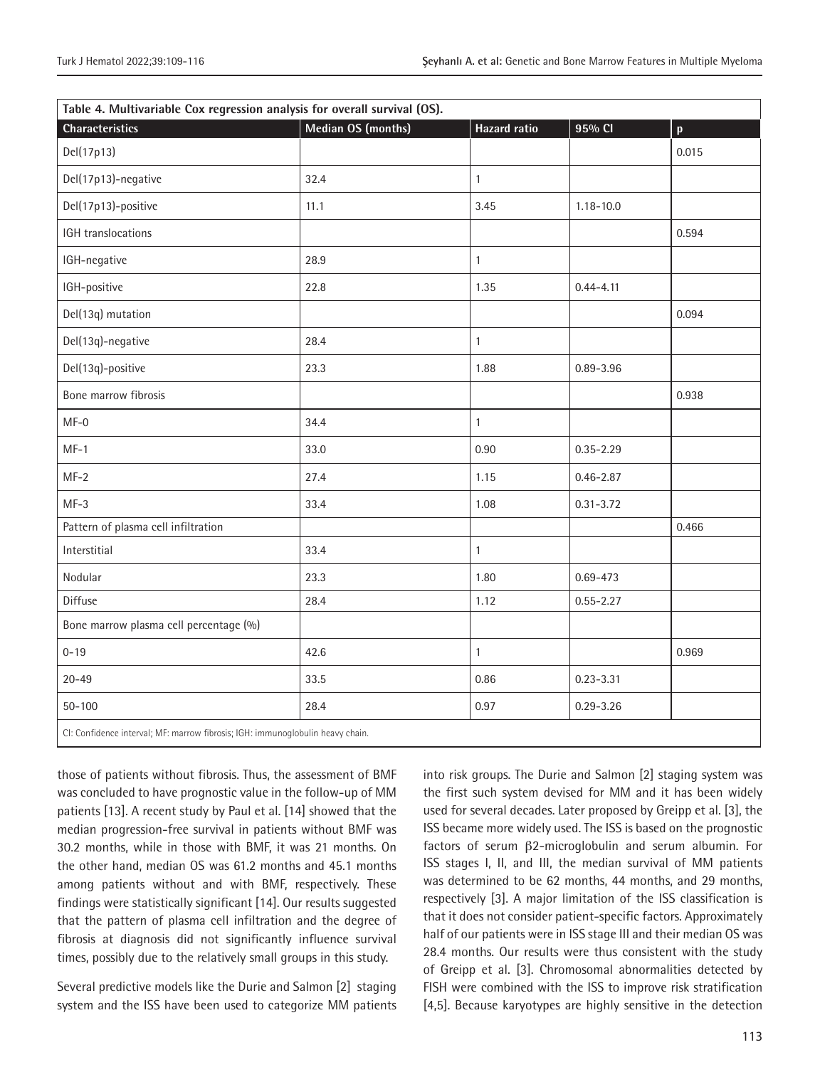| Table 4. Multivariable Cox regression analysis for overall survival (OS).      |                    |                     |               |              |  |  |
|--------------------------------------------------------------------------------|--------------------|---------------------|---------------|--------------|--|--|
| Characteristics                                                                | Median OS (months) | <b>Hazard ratio</b> | 95% CI        | $\mathbf{p}$ |  |  |
| Del(17p13)                                                                     |                    |                     |               | 0.015        |  |  |
| Del(17p13)-negative                                                            | 32.4               | $\mathbf{1}$        |               |              |  |  |
| Del(17p13)-positive                                                            | 11.1               | 3.45                | $1.18 - 10.0$ |              |  |  |
| IGH translocations                                                             |                    |                     |               | 0.594        |  |  |
| IGH-negative                                                                   | 28.9               | $\mathbf{1}$        |               |              |  |  |
| IGH-positive                                                                   | 22.8               | 1.35                | $0.44 - 4.11$ |              |  |  |
| Del(13q) mutation                                                              |                    |                     |               | 0.094        |  |  |
| Del(13q)-negative                                                              | 28.4               | $\mathbf{1}$        |               |              |  |  |
| Del(13q)-positive                                                              | 23.3               | 1.88                | $0.89 - 3.96$ |              |  |  |
| Bone marrow fibrosis                                                           |                    |                     |               | 0.938        |  |  |
| $MF-0$                                                                         | 34.4               | $\mathbf{1}$        |               |              |  |  |
| $MF-1$                                                                         | 33.0               | 0.90                | $0.35 - 2.29$ |              |  |  |
| $MF-2$                                                                         | 27.4               | 1.15                | $0.46 - 2.87$ |              |  |  |
| $MF-3$                                                                         | 33.4               | 1.08                | $0.31 - 3.72$ |              |  |  |
| Pattern of plasma cell infiltration                                            |                    |                     |               | 0.466        |  |  |
| Interstitial                                                                   | 33.4               | $\mathbf{1}$        |               |              |  |  |
| Nodular                                                                        | 23.3               | 1.80                | $0.69 - 473$  |              |  |  |
| Diffuse                                                                        | 28.4               | 1.12                | $0.55 - 2.27$ |              |  |  |
| Bone marrow plasma cell percentage (%)                                         |                    |                     |               |              |  |  |
| $0 - 19$                                                                       | 42.6               | $\mathbf{1}$        |               | 0.969        |  |  |
| $20 - 49$                                                                      | 33.5               | 0.86                | $0.23 - 3.31$ |              |  |  |
| $50 - 100$                                                                     | 28.4               | 0.97                | $0.29 - 3.26$ |              |  |  |
| CI: Confidence interval; MF: marrow fibrosis; IGH: immunoglobulin heavy chain. |                    |                     |               |              |  |  |

those of patients without fibrosis. Thus, the assessment of BMF was concluded to have prognostic value in the follow-up of MM patients [13]. A recent study by Paul et al. [14] showed that the median progression-free survival in patients without BMF was 30.2 months, while in those with BMF, it was 21 months. On the other hand, median OS was 61.2 months and 45.1 months among patients without and with BMF, respectively. These findings were statistically significant [14]. Our results suggested that the pattern of plasma cell infiltration and the degree of fibrosis at diagnosis did not significantly influence survival times, possibly due to the relatively small groups in this study.

Several predictive models like the Durie and Salmon [2] staging system and the ISS have been used to categorize MM patients into risk groups. The Durie and Salmon [2] staging system was the first such system devised for MM and it has been widely used for several decades. Later proposed by Greipp et al. [3], the ISS became more widely used. The ISS is based on the prognostic factors of serum β2-microglobulin and serum albumin. For ISS stages I, II, and III, the median survival of MM patients was determined to be 62 months, 44 months, and 29 months, respectively [3]. A major limitation of the ISS classification is that it does not consider patient-specific factors. Approximately half of our patients were in ISS stage III and their median OS was 28.4 months. Our results were thus consistent with the study of Greipp et al. [3]. Chromosomal abnormalities detected by FISH were combined with the ISS to improve risk stratification [4,5]. Because karyotypes are highly sensitive in the detection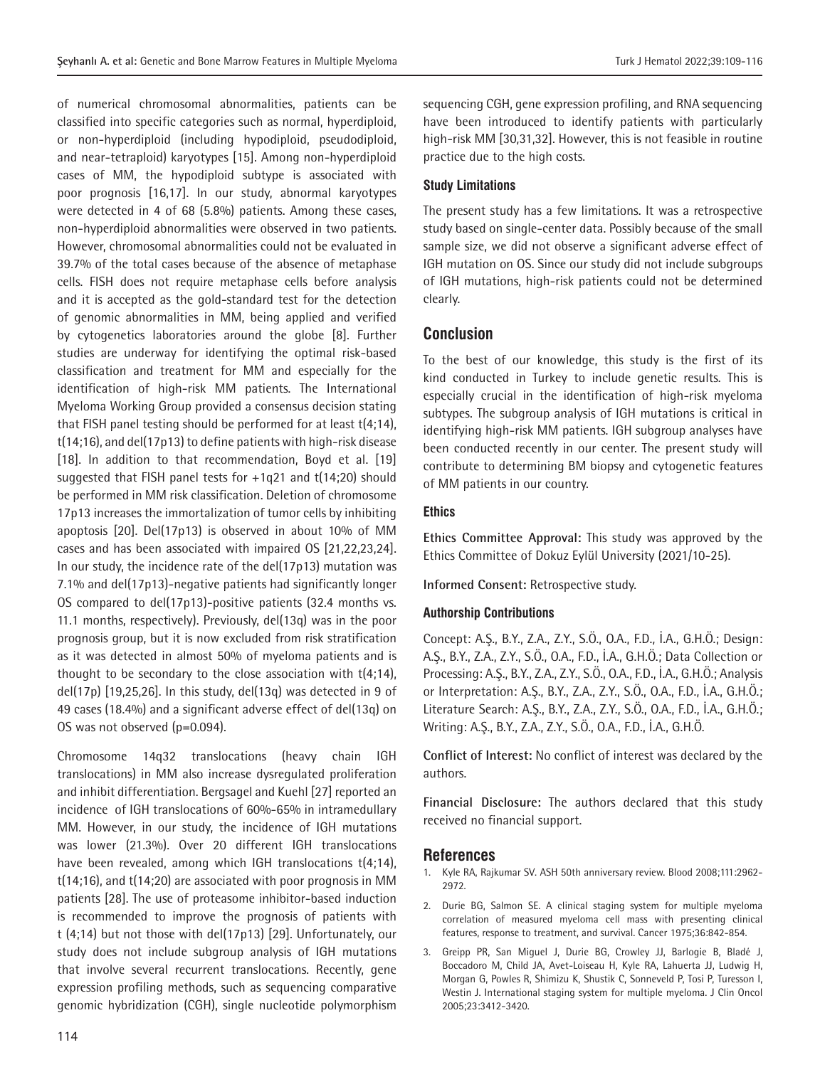of numerical chromosomal abnormalities, patients can be classified into specific categories such as normal, hyperdiploid, or non-hyperdiploid (including hypodiploid, pseudodiploid, and near-tetraploid) karyotypes [15]. Among non-hyperdiploid cases of MM, the hypodiploid subtype is associated with poor prognosis [16,17]. In our study, abnormal karyotypes were detected in 4 of 68 (5.8%) patients. Among these cases, non-hyperdiploid abnormalities were observed in two patients. However, chromosomal abnormalities could not be evaluated in 39.7% of the total cases because of the absence of metaphase cells. FISH does not require metaphase cells before analysis and it is accepted as the gold-standard test for the detection of genomic abnormalities in MM, being applied and verified by cytogenetics laboratories around the globe [8]. Further studies are underway for identifying the optimal risk-based classification and treatment for MM and especially for the identification of high-risk MM patients. The International Myeloma Working Group provided a consensus decision stating that FISH panel testing should be performed for at least t(4;14), t(14;16), and del(17p13) to define patients with high-risk disease [18]. In addition to that recommendation, Boyd et al. [19] suggested that FISH panel tests for +1q21 and t(14;20) should be performed in MM risk classification. Deletion of chromosome 17p13 increases the immortalization of tumor cells by inhibiting apoptosis [20]. Del(17p13) is observed in about 10% of MM cases and has been associated with impaired OS [21,22,23,24]. In our study, the incidence rate of the del(17p13) mutation was 7.1% and del(17p13)-negative patients had significantly longer OS compared to del(17p13)-positive patients (32.4 months vs. 11.1 months, respectively). Previously, del(13q) was in the poor prognosis group, but it is now excluded from risk stratification as it was detected in almost 50% of myeloma patients and is thought to be secondary to the close association with t(4;14), del(17p) [19,25,26]. In this study, del(13q) was detected in 9 of 49 cases (18.4%) and a significant adverse effect of del(13q) on OS was not observed (p=0.094).

Chromosome 14q32 translocations (heavy chain IGH translocations) in MM also increase dysregulated proliferation and inhibit differentiation. Bergsagel and Kuehl [27] reported an incidence of IGH translocations of 60%-65% in intramedullary MM. However, in our study, the incidence of IGH mutations was lower (21.3%). Over 20 different IGH translocations have been revealed, among which IGH translocations t(4;14), t(14;16), and t(14;20) are associated with poor prognosis in MM patients [28]. The use of proteasome inhibitor-based induction is recommended to improve the prognosis of patients with t (4;14) but not those with del(17p13) [29]. Unfortunately, our study does not include subgroup analysis of IGH mutations that involve several recurrent translocations. Recently, gene expression profiling methods, such as sequencing comparative genomic hybridization (CGH), single nucleotide polymorphism

sequencing CGH, gene expression profiling, and RNA sequencing have been introduced to identify patients with particularly high-risk MM [30,31,32]. However, this is not feasible in routine practice due to the high costs.

#### **Study Limitations**

The present study has a few limitations. It was a retrospective study based on single-center data. Possibly because of the small sample size, we did not observe a significant adverse effect of IGH mutation on OS. Since our study did not include subgroups of IGH mutations, high-risk patients could not be determined clearly.

### **Conclusion**

To the best of our knowledge, this study is the first of its kind conducted in Turkey to include genetic results. This is especially crucial in the identification of high-risk myeloma subtypes. The subgroup analysis of IGH mutations is critical in identifying high-risk MM patients. IGH subgroup analyses have been conducted recently in our center. The present study will contribute to determining BM biopsy and cytogenetic features of MM patients in our country.

#### **Ethics**

**Ethics Committee Approval:** This study was approved by the Ethics Committee of Dokuz Eylül University (2021/10-25).

**Informed Consent:** Retrospective study.

#### **Authorship Contributions**

Concept: A.Ş., B.Y., Z.A., Z.Y., S.Ö., O.A., F.D., İ.A., G.H.Ö.; Design: A.Ş., B.Y., Z.A., Z.Y., S.Ö., O.A., F.D., İ.A., G.H.Ö.; Data Collection or Processing: A.Ş., B.Y., Z.A., Z.Y., S.Ö., O.A., F.D., İ.A., G.H.Ö.; Analysis or Interpretation: A.Ş., B.Y., Z.A., Z.Y., S.Ö., O.A., F.D., İ.A., G.H.Ö.; Literature Search: A.Ş., B.Y., Z.A., Z.Y., S.Ö., O.A., F.D., İ.A., G.H.Ö.; Writing: A.Ş., B.Y., Z.A., Z.Y., S.Ö., O.A., F.D., İ.A., G.H.Ö.

**Conflict of Interest:** No conflict of interest was declared by the authors.

**Financial Disclosure:** The authors declared that this study received no financial support.

#### **References**

- 1. Kyle RA, Rajkumar SV. ASH 50th anniversary review. Blood 2008;111:2962- 2972.
- 2. Durie BG, Salmon SE. A clinical staging system for multiple myeloma correlation of measured myeloma cell mass with presenting clinical features, response to treatment, and survival. Cancer 1975;36:842-854.
- 3. Greipp PR, San Miguel J, Durie BG, Crowley JJ, Barlogie B, Bladé J, Boccadoro M, Child JA, Avet-Loiseau H, Kyle RA, Lahuerta JJ, Ludwig H, Morgan G, Powles R, Shimizu K, Shustik C, Sonneveld P, Tosi P, Turesson I, Westin J. International staging system for multiple myeloma. J Clin Oncol 2005;23:3412-3420.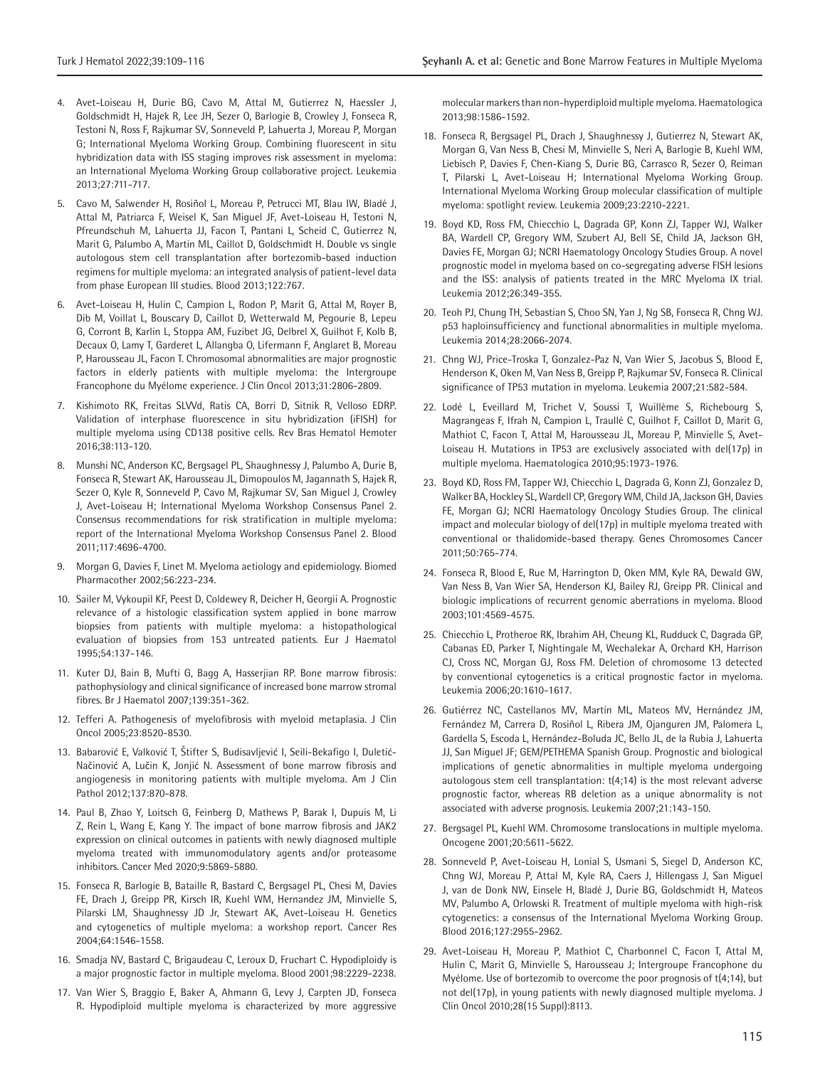- 4. Avet-Loiseau H, Durie BG, Cavo M, Attal M, Gutierrez N, Haessler J, Goldschmidt H, Hajek R, Lee JH, Sezer O, Barlogie B, Crowley J, Fonseca R, Testoni N, Ross F, Rajkumar SV, Sonneveld P, Lahuerta J, Moreau P, Morgan G; International Myeloma Working Group. Combining fluorescent in situ hybridization data with ISS staging improves risk assessment in myeloma: an International Myeloma Working Group collaborative project. Leukemia 2013;27:711-717.
- 5. Cavo M, Salwender H, Rosiñol L, Moreau P, Petrucci MT, Blau IW, Bladé J, Attal M, Patriarca F, Weisel K, San Miguel JF, Avet-Loiseau H, Testoni N, Pfreundschuh M, Lahuerta JJ, Facon T, Pantani L, Scheid C, Gutierrez N, Marit G, Palumbo A, Martin ML, Caillot D, Goldschmidt H. Double vs single autologous stem cell transplantation after bortezomib-based induction regimens for multiple myeloma: an integrated analysis of patient-level data from phase European III studies. Blood 2013;122:767.
- 6. Avet-Loiseau H, Hulin C, Campion L, Rodon P, Marit G, Attal M, Royer B, Dib M, Voillat L, Bouscary D, Caillot D, Wetterwald M, Pegourie B, Lepeu G, Corront B, Karlin L, Stoppa AM, Fuzibet JG, Delbrel X, Guilhot F, Kolb B, Decaux O, Lamy T, Garderet L, Allangba O, Lifermann F, Anglaret B, Moreau P, Harousseau JL, Facon T. Chromosomal abnormalities are major prognostic factors in elderly patients with multiple myeloma: the Intergroupe Francophone du Myélome experience. J Clin Oncol 2013;31:2806-2809.
- 7. Kishimoto RK, Freitas SLVVd, Ratis CA, Borri D, Sitnik R, Velloso EDRP. Validation of interphase fluorescence in situ hybridization (iFISH) for multiple myeloma using CD138 positive cells. Rev Bras Hematol Hemoter 2016;38:113-120.
- 8. Munshi NC, Anderson KC, Bergsagel PL, Shaughnessy J, Palumbo A, Durie B, Fonseca R, Stewart AK, Harousseau JL, Dimopoulos M, Jagannath S, Hajek R, Sezer O, Kyle R, Sonneveld P, Cavo M, Rajkumar SV, San Miguel J, Crowley J, Avet-Loiseau H; International Myeloma Workshop Consensus Panel 2. Consensus recommendations for risk stratification in multiple myeloma: report of the International Myeloma Workshop Consensus Panel 2. Blood 2011;117:4696-4700.
- 9. Morgan G, Davies F, Linet M. Myeloma aetiology and epidemiology. Biomed Pharmacother 2002;56:223-234.
- 10. Sailer M, Vykoupil KF, Peest D, Coldewey R, Deicher H, Georgii A. Prognostic relevance of a histologic classification system applied in bone marrow biopsies from patients with multiple myeloma: a histopathological evaluation of biopsies from 153 untreated patients. Eur J Haematol 1995;54:137-146.
- 11. Kuter DJ, Bain B, Mufti G, Bagg A, Hasserjian RP. Bone marrow fibrosis: pathophysiology and clinical significance of increased bone marrow stromal fibres. Br J Haematol 2007;139:351-362.
- 12. Tefferi A. Pathogenesis of myelofibrosis with myeloid metaplasia. J Clin Oncol 2005;23:8520-8530.
- 13. Babarović E, Valković T, Štifter S, Budisavljević I, Seili-Bekafigo I, Duletić-Načinović A, Lučin K, Jonjić N. Assessment of bone marrow fibrosis and angiogenesis in monitoring patients with multiple myeloma. Am J Clin Pathol 2012;137:870-878.
- 14. Paul B, Zhao Y, Loitsch G, Feinberg D, Mathews P, Barak I, Dupuis M, Li Z, Rein L, Wang E, Kang Y. The impact of bone marrow fibrosis and JAK2 expression on clinical outcomes in patients with newly diagnosed multiple myeloma treated with immunomodulatory agents and/or proteasome inhibitors. Cancer Med 2020;9:5869-5880.
- 15. Fonseca R, Barlogie B, Bataille R, Bastard C, Bergsagel PL, Chesi M, Davies FE, Drach J, Greipp PR, Kirsch IR, Kuehl WM, Hernandez JM, Minvielle S, Pilarski LM, Shaughnessy JD Jr, Stewart AK, Avet-Loiseau H. Genetics and cytogenetics of multiple myeloma: a workshop report. Cancer Res 2004;64:1546-1558.
- 16. Smadja NV, Bastard C, Brigaudeau C, Leroux D, Fruchart C. Hypodiploidy is a major prognostic factor in multiple myeloma. Blood 2001;98:2229-2238.
- 17. Van Wier S, Braggio E, Baker A, Ahmann G, Levy J, Carpten JD, Fonseca R. Hypodiploid multiple myeloma is characterized by more aggressive

molecular markers than non-hyperdiploid multiple myeloma. Haematologica 2013;98:1586-1592.

- 18. Fonseca R, Bergsagel PL, Drach J, Shaughnessy J, Gutierrez N, Stewart AK, Morgan G, Van Ness B, Chesi M, Minvielle S, Neri A, Barlogie B, Kuehl WM, Liebisch P, Davies F, Chen-Kiang S, Durie BG, Carrasco R, Sezer O, Reiman T, Pilarski L, Avet-Loiseau H; International Myeloma Working Group. International Myeloma Working Group molecular classification of multiple myeloma: spotlight review. Leukemia 2009;23:2210-2221.
- 19. Boyd KD, Ross FM, Chiecchio L, Dagrada GP, Konn ZJ, Tapper WJ, Walker BA, Wardell CP, Gregory WM, Szubert AJ, Bell SE, Child JA, Jackson GH, Davies FE, Morgan GJ; NCRI Haematology Oncology Studies Group. A novel prognostic model in myeloma based on co-segregating adverse FISH lesions and the ISS: analysis of patients treated in the MRC Myeloma IX trial. Leukemia 2012;26:349-355.
- 20. Teoh PJ, Chung TH, Sebastian S, Choo SN, Yan J, Ng SB, Fonseca R, Chng WJ. p53 haploinsufficiency and functional abnormalities in multiple myeloma. Leukemia 2014;28:2066-2074.
- 21. Chng WJ, Price-Troska T, Gonzalez-Paz N, Van Wier S, Jacobus S, Blood E, Henderson K, Oken M, Van Ness B, Greipp P, Rajkumar SV, Fonseca R. Clinical significance of TP53 mutation in myeloma. Leukemia 2007;21:582-584.
- 22. Lodé L, Eveillard M, Trichet V, Soussi T, Wuillème S, Richebourg S, Magrangeas F, Ifrah N, Campion L, Traullé C, Guilhot F, Caillot D, Marit G, Mathiot C, Facon T, Attal M, Harousseau JL, Moreau P, Minvielle S, Avet-Loiseau H. Mutations in TP53 are exclusively associated with del(17p) in multiple myeloma. Haematologica 2010;95:1973-1976.
- 23. Boyd KD, Ross FM, Tapper WJ, Chiecchio L, Dagrada G, Konn ZJ, Gonzalez D, Walker BA, Hockley SL, Wardell CP, Gregory WM, Child JA, Jackson GH, Davies FE, Morgan GJ; NCRI Haematology Oncology Studies Group. The clinical impact and molecular biology of del(17p) in multiple myeloma treated with conventional or thalidomide‐based therapy. Genes Chromosomes Cancer 2011;50:765-774.
- 24. Fonseca R, Blood E, Rue M, Harrington D, Oken MM, Kyle RA, Dewald GW, Van Ness B, Van Wier SA, Henderson KJ, Bailey RJ, Greipp PR. Clinical and biologic implications of recurrent genomic aberrations in myeloma. Blood 2003;101:4569-4575.
- 25. Chiecchio L, Protheroe RK, Ibrahim AH, Cheung KL, Rudduck C, Dagrada GP, Cabanas ED, Parker T, Nightingale M, Wechalekar A, Orchard KH, Harrison CJ, Cross NC, Morgan GJ, Ross FM. Deletion of chromosome 13 detected by conventional cytogenetics is a critical prognostic factor in myeloma. Leukemia 2006;20:1610-1617.
- 26. Gutiérrez NC, Castellanos MV, Martín ML, Mateos MV, Hernández JM, Fernández M, Carrera D, Rosiñol L, Ribera JM, Ojanguren JM, Palomera L, Gardella S, Escoda L, Hernández-Boluda JC, Bello JL, de la Rubia J, Lahuerta JJ, San Miguel JF; GEM/PETHEMA Spanish Group. Prognostic and biological implications of genetic abnormalities in multiple myeloma undergoing autologous stem cell transplantation: t(4;14) is the most relevant adverse prognostic factor, whereas RB deletion as a unique abnormality is not associated with adverse prognosis. Leukemia 2007;21:143-150.
- 27. Bergsagel PL, Kuehl WM. Chromosome translocations in multiple myeloma. Oncogene 2001;20:5611-5622.
- 28. Sonneveld P, Avet-Loiseau H, Lonial S, Usmani S, Siegel D, Anderson KC, Chng WJ, Moreau P, Attal M, Kyle RA, Caers J, Hillengass J, San Miguel J, van de Donk NW, Einsele H, Bladé J, Durie BG, Goldschmidt H, Mateos MV, Palumbo A, Orlowski R. Treatment of multiple myeloma with high-risk cytogenetics: a consensus of the International Myeloma Working Group. Blood 2016;127:2955-2962.
- 29. Avet-Loiseau H, Moreau P, Mathiot C, Charbonnel C, Facon T, Attal M, Hulin C, Marit G, Minvielle S, Harousseau J; Intergroupe Francophone du Myélome. Use of bortezomib to overcome the poor prognosis of t(4;14), but not del(17p), in young patients with newly diagnosed multiple myeloma. J Clin Oncol 2010;28(15 Suppl):8113.